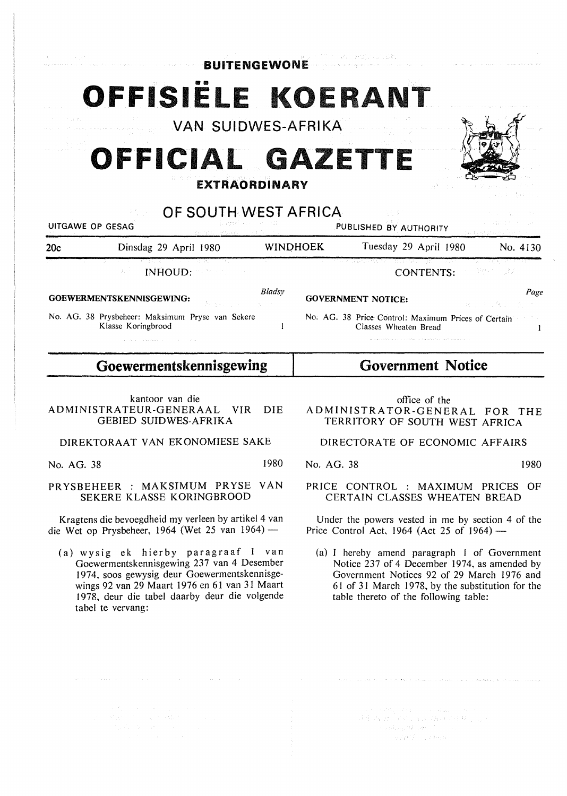$\mathbb{E}[\mathcal{F} \cap \{s^T\} \cap P(\mathcal{G})] \cap \{s^T, \mathcal{G}\}_{\mathcal{G}}$ **BUITENGEWONE** 

# OFFISIËLE KOERANT

VAN SUIDWES-AFRIKA

# **OFFICIAL GA ETTE EXTRAORDINARY**

## OF SOUTH WEST AFRICA

| distribution of the<br>UITGAWE OP GESAG<br>densitierung und Aufführt |                                                                                     | PUBLISHED BY AUTHORITY |                                                                                                                             | しょうしせいちょう おんしょう<br>(自殺する)経営的にある きんこうしん |
|----------------------------------------------------------------------|-------------------------------------------------------------------------------------|------------------------|-----------------------------------------------------------------------------------------------------------------------------|----------------------------------------|
| 20c                                                                  | Dinsdag 29 April 1980                                                               | <b>WINDHOEK</b>        | Tuesday 29 April 1980                                                                                                       | No. 4130                               |
|                                                                      | 그는 아이가 많이 가지고 있어? 이 가지 않고 있어요. 그 사람은 어떻게 하나 말을 하나 먹었다.<br>INHOUD: A COMPANY<br>一般など |                        | المتحدث والمتحال المستقل المستقل المستقل والمستقل المتحدث والمتحدث والمتحال والمتحدث والمستقل المستقلة المستقل<br>CONTENTS: | 그는 그렇게 그 말까?                           |
|                                                                      | GOEWERMENTSKENNISGEWING:<br>Bengal Communication                                    | Bladsv                 | <b>GOVERNMENT NOTICE:</b>                                                                                                   | Page<br>しゅうしょう 保守 しゅうか                 |
|                                                                      | No. AG. 38 Prysbeheer: Maksimum Pryse van Sekere<br>Klasse Koringbrood              |                        | No. AG. 38 Price Control: Maximum Prices of Certain<br>Classes Wheaten Bread                                                |                                        |

**Goewermentskennisgewing** 

### kantoor van die ADMINISTRATEUR-GENERAAL VIR DIE GEBIED SUIDWES-AFRIKA

DIREKTORAAT VAN EKONOMIESE SAKE

No. AG. 38 1980

PR YSBEHEER : MAKSIMUM PR YSE VAN SEKERE KLASSE KORINGBROOD

Kragtens die bevoegdheid my verleen by artikel 4 van die Wet op Prysbeheer, 1964 (Wet 25 van 1964) -

(a) wysig ek hierby paragraaf 1 van Goewermentskennisgewing 237 van 4 Desember 1974, soos gewysig deur Goewermentskennisgewings 92 van 29 Maart 1976 en 61 van 31 Maart 1978, deur die tabel daarby deur die volgende tabel te vervang:

office of the

 $\{T, T\}$ 

**Government Notice** 

ADMINISTRATOR-GENERAL FOR THE TERRITORY OF SOUTH WEST AFRICA

DIRECTORATE OF ECONOMIC AFFAIRS

No. AG. 38 1980

### PRICE CONTROL : MAXIMUM PRICES OF CERTAIN CLASSES WHEATEN BREAD

Under the powers vested in me by section 4 of the Price Control Act, 1964 (Act 25 of  $1964$ ) —

(a) I hereby amend paragraph I of Government Notice 237 of 4 December 1974, as amended by Government Notices 92 of 29 March 1976 and 61 of 31 March 1978, by the substitution for the table thereto of the following table:

> e a contra come e a alemando.<br>A francesa (Aleman Alam Antares)<br>A francesa (Alem Antares)  $\label{eq:1} \mathcal{L}_{\mathcal{D}}(\phi_{\mathcal{D},\mathcal{D}}(\mathcal{G}_{\mathcal{D},\mathcal{D}}(\mathcal{G}_{\mathcal{D},\mathcal{D}}(\mathcal{E}_{\mathcal{D}})))$  $\sim$  where  $f=\pm$  is to  $\alpha$